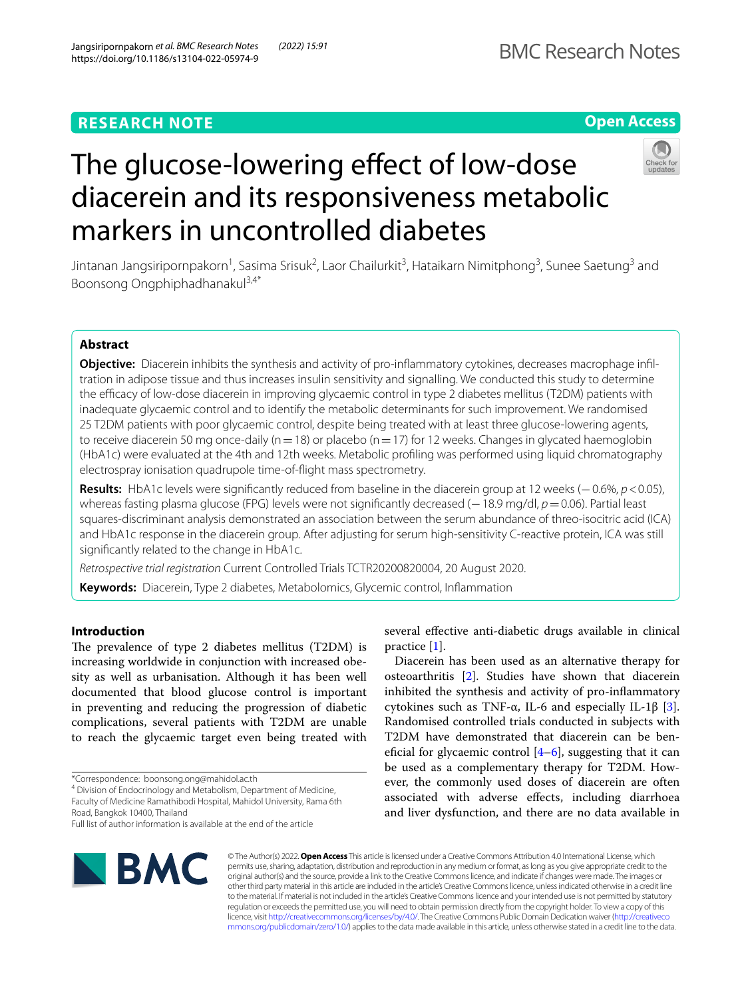**RESEARCH NOTE**

# The glucose-lowering effect of low-dose diacerein and its responsiveness metabolic markers in uncontrolled diabetes

Jintanan Jangsiripornpakorn<sup>1</sup>, Sasima Srisuk<sup>2</sup>, Laor Chailurkit<sup>3</sup>, Hataikarn Nimitphong<sup>3</sup>, Sunee Saetung<sup>3</sup> and Boonsong Ongphiphadhanakul3,4\*

# **Abstract**

**Objective:** Diacerein inhibits the synthesis and activity of pro-infammatory cytokines, decreases macrophage infltration in adipose tissue and thus increases insulin sensitivity and signalling. We conducted this study to determine the efficacy of low-dose diacerein in improving glycaemic control in type 2 diabetes mellitus (T2DM) patients with inadequate glycaemic control and to identify the metabolic determinants for such improvement. We randomised 25 T2DM patients with poor glycaemic control, despite being treated with at least three glucose-lowering agents, to receive diacerein 50 mg once-daily (n=18) or placebo (n=17) for 12 weeks. Changes in glycated haemoglobin (HbA1c) were evaluated at the 4th and 12th weeks. Metabolic profling was performed using liquid chromatography electrospray ionisation quadrupole time-of-fight mass spectrometry.

**Results:** HbA1c levels were signifcantly reduced from baseline in the diacerein group at 12 weeks (−0.6%, *p*<0.05), whereas fasting plasma glucose (FPG) levels were not significantly decreased (−18.9 mg/dl, *p* = 0.06). Partial least squares-discriminant analysis demonstrated an association between the serum abundance of threo-isocitric acid (ICA) and HbA1c response in the diacerein group. After adjusting for serum high-sensitivity C-reactive protein, ICA was still signifcantly related to the change in HbA1c.

practice [[1\]](#page-4-0).

*Retrospective trial registration* Current Controlled Trials TCTR20200820004, 20 August 2020.

**Keywords:** Diacerein, Type 2 diabetes, Metabolomics, Glycemic control, Infammation

# **Introduction**

The prevalence of type 2 diabetes mellitus (T2DM) is increasing worldwide in conjunction with increased obesity as well as urbanisation. Although it has been well documented that blood glucose control is important in preventing and reducing the progression of diabetic complications, several patients with T2DM are unable to reach the glycaemic target even being treated with

\*Correspondence: boonsong.ong@mahidol.ac.th

<sup>4</sup> Division of Endocrinology and Metabolism, Department of Medicine, Faculty of Medicine Ramathibodi Hospital, Mahidol University, Rama 6th Road, Bangkok 10400, Thailand

© The Author(s) 2022. **Open Access** This article is licensed under a Creative Commons Attribution 4.0 International License, which permits use, sharing, adaptation, distribution and reproduction in any medium or format, as long as you give appropriate credit to the original author(s) and the source, provide a link to the Creative Commons licence, and indicate if changes were made. The images or other third party material in this article are included in the article's Creative Commons licence, unless indicated otherwise in a credit line to the material. If material is not included in the article's Creative Commons licence and your intended use is not permitted by statutory regulation or exceeds the permitted use, you will need to obtain permission directly from the copyright holder. To view a copy of this licence, visit [http://creativecommons.org/licenses/by/4.0/.](http://creativecommons.org/licenses/by/4.0/) The Creative Commons Public Domain Dedication waiver ([http://creativeco](http://creativecommons.org/publicdomain/zero/1.0/) [mmons.org/publicdomain/zero/1.0/](http://creativecommons.org/publicdomain/zero/1.0/)) applies to the data made available in this article, unless otherwise stated in a credit line to the data.





**Open Access**

several efective anti-diabetic drugs available in clinical

Diacerein has been used as an alternative therapy for osteoarthritis [\[2](#page-4-1)]. Studies have shown that diacerein inhibited the synthesis and activity of pro-infammatory cytokines such as TNF-α, IL-6 and especially IL-1β [\[3](#page-4-2)]. Randomised controlled trials conducted in subjects with T2DM have demonstrated that diacerein can be beneficial for glycaemic control  $[4-6]$  $[4-6]$ , suggesting that it can be used as a complementary therapy for T2DM. However, the commonly used doses of diacerein are often associated with adverse efects, including diarrhoea and liver dysfunction, and there are no data available in

Full list of author information is available at the end of the article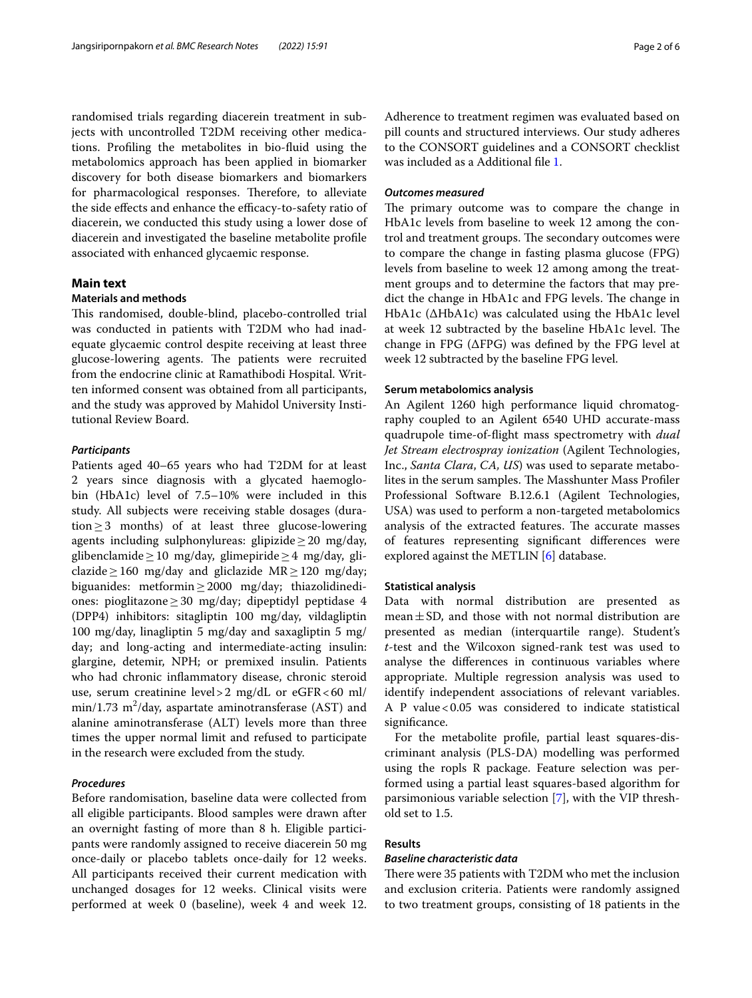randomised trials regarding diacerein treatment in subjects with uncontrolled T2DM receiving other medications. Profling the metabolites in bio-fuid using the metabolomics approach has been applied in biomarker discovery for both disease biomarkers and biomarkers for pharmacological responses. Therefore, to alleviate the side effects and enhance the efficacy-to-safety ratio of diacerein, we conducted this study using a lower dose of diacerein and investigated the baseline metabolite profle associated with enhanced glycaemic response.

## **Main text**

#### **Materials and methods**

This randomised, double-blind, placebo-controlled trial was conducted in patients with T2DM who had inadequate glycaemic control despite receiving at least three glucose-lowering agents. The patients were recruited from the endocrine clinic at Ramathibodi Hospital. Written informed consent was obtained from all participants, and the study was approved by Mahidol University Institutional Review Board.

## *Participants*

Patients aged 40–65 years who had T2DM for at least 2 years since diagnosis with a glycated haemoglobin (HbA1c) level of 7.5–10% were included in this study. All subjects were receiving stable dosages (duration≥3 months) of at least three glucose-lowering agents including sulphonylureas: glipizide  $\geq 20$  mg/day, glibenclamide≥10 mg/day, glimepiride≥4 mg/day, gliclazide  $\geq$  160 mg/day and gliclazide MR  $\geq$  120 mg/day; biguanides: metformin≥2000 mg/day; thiazolidinediones: pioglitazone≥30 mg/day; dipeptidyl peptidase 4 (DPP4) inhibitors: sitagliptin 100 mg/day, vildagliptin 100 mg/day, linagliptin 5 mg/day and saxagliptin 5 mg/ day; and long-acting and intermediate-acting insulin: glargine, detemir, NPH; or premixed insulin. Patients who had chronic infammatory disease, chronic steroid use, serum creatinine level>2 mg/dL or eGFR<60 ml/  $min/1.73 \text{ m}^2$ /day, aspartate aminotransferase (AST) and alanine aminotransferase (ALT) levels more than three times the upper normal limit and refused to participate in the research were excluded from the study.

## *Procedures*

Before randomisation, baseline data were collected from all eligible participants. Blood samples were drawn after an overnight fasting of more than 8 h. Eligible participants were randomly assigned to receive diacerein 50 mg once-daily or placebo tablets once-daily for 12 weeks. All participants received their current medication with unchanged dosages for 12 weeks. Clinical visits were performed at week 0 (baseline), week 4 and week 12. Adherence to treatment regimen was evaluated based on pill counts and structured interviews. Our study adheres to the CONSORT guidelines and a CONSORT checklist was included as a Additional fle [1](#page-4-4).

## *Outcomes measured*

The primary outcome was to compare the change in HbA1c levels from baseline to week 12 among the control and treatment groups. The secondary outcomes were to compare the change in fasting plasma glucose (FPG) levels from baseline to week 12 among among the treatment groups and to determine the factors that may predict the change in HbA1c and FPG levels. The change in HbA1c ( $\Delta$ HbA1c) was calculated using the HbA1c level at week 12 subtracted by the baseline HbA1c level. The change in FPG (∆FPG) was defned by the FPG level at week 12 subtracted by the baseline FPG level.

## **Serum metabolomics analysis**

An Agilent 1260 high performance liquid chromatography coupled to an Agilent 6540 UHD accurate-mass quadrupole time-of-fight mass spectrometry with *dual Jet Stream electrospray ionization* (Agilent Technologies, Inc., *Santa Clara*, *CA, US*) was used to separate metabolites in the serum samples. The Masshunter Mass Profiler Professional Software B.12.6.1 (Agilent Technologies, USA) was used to perform a non-targeted metabolomics analysis of the extracted features. The accurate masses of features representing signifcant diferences were explored against the METLIN [\[6](#page-5-0)] database.

## **Statistical analysis**

Data with normal distribution are presented as mean $\pm$ SD, and those with not normal distribution are presented as median (interquartile range). Student's *t*-test and the Wilcoxon signed-rank test was used to analyse the diferences in continuous variables where appropriate. Multiple regression analysis was used to identify independent associations of relevant variables. A P value<0.05 was considered to indicate statistical signifcance.

For the metabolite profle, partial least squares-discriminant analysis (PLS-DA) modelling was performed using the ropls R package. Feature selection was performed using a partial least squares-based algorithm for parsimonious variable selection [[7](#page-5-1)], with the VIP threshold set to 1.5.

## **Results**

## *Baseline characteristic data*

There were 35 patients with T2DM who met the inclusion and exclusion criteria. Patients were randomly assigned to two treatment groups, consisting of 18 patients in the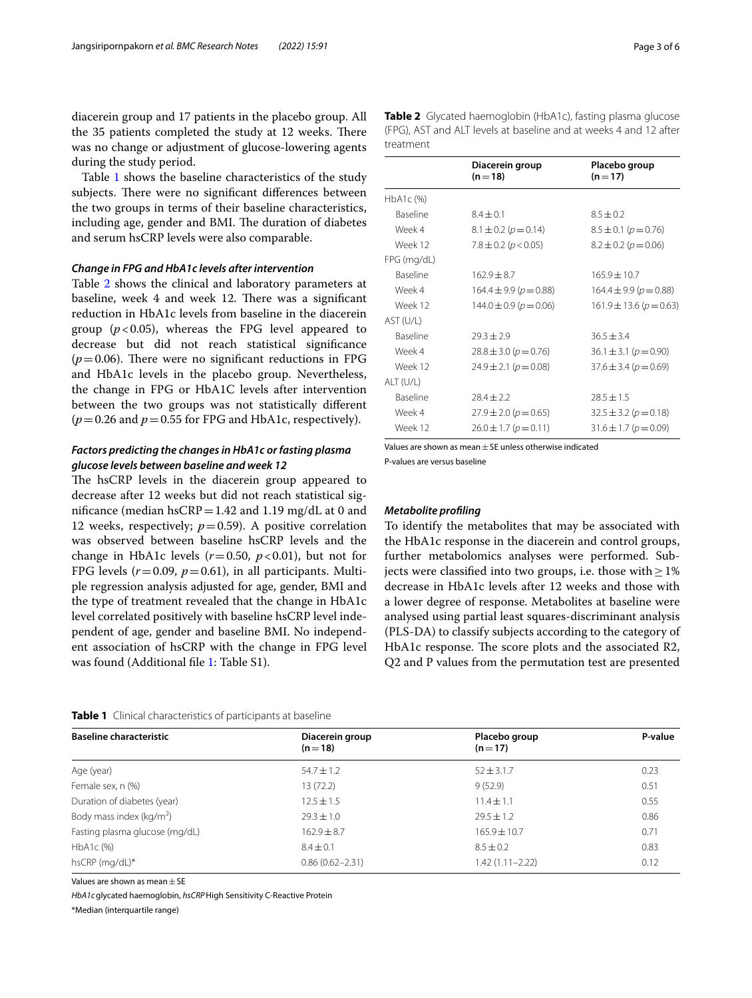diacerein group and 17 patients in the placebo group. All the 35 patients completed the study at 12 weeks. There was no change or adjustment of glucose-lowering agents during the study period.

Table [1](#page-2-0) shows the baseline characteristics of the study subjects. There were no significant differences between the two groups in terms of their baseline characteristics, including age, gender and BMI. The duration of diabetes and serum hsCRP levels were also comparable.

#### *Change in FPG and HbA1c levels after intervention*

Table [2](#page-2-1) shows the clinical and laboratory parameters at baseline, week 4 and week 12. There was a significant reduction in HbA1c levels from baseline in the diacerein group  $(p<0.05)$ , whereas the FPG level appeared to decrease but did not reach statistical signifcance  $(p=0.06)$ . There were no significant reductions in FPG and HbA1c levels in the placebo group. Nevertheless, the change in FPG or HbA1C levels after intervention between the two groups was not statistically diferent  $(p=0.26$  and  $p=0.55$  for FPG and HbA1c, respectively).

# *Factors predicting the changes in HbA1c or fasting plasma glucose levels between baseline and week 12*

The hsCRP levels in the diacerein group appeared to decrease after 12 weeks but did not reach statistical significance (median hsCRP =  $1.42$  and  $1.19$  mg/dL at 0 and 12 weeks, respectively;  $p=0.59$ ). A positive correlation was observed between baseline hsCRP levels and the change in HbA1c levels  $(r=0.50, p<0.01)$ , but not for FPG levels  $(r=0.09, p=0.61)$ , in all participants. Multiple regression analysis adjusted for age, gender, BMI and the type of treatment revealed that the change in HbA1c level correlated positively with baseline hsCRP level independent of age, gender and baseline BMI. No independent association of hsCRP with the change in FPG level was found (Additional fle [1](#page-4-4): Table S1).

|                 | Diacerein group<br>$(n=18)$    | Placebo group<br>$(n=17)$     |  |
|-----------------|--------------------------------|-------------------------------|--|
| HbA1c (%)       |                                |                               |  |
| <b>Baseline</b> | $8.4 + 0.1$                    | $8.5 + 0.2$                   |  |
| Week 4          | $8.1 \pm 0.2$ ( $p = 0.14$ )   | $8.5 \pm 0.1$ ( $p = 0.76$ )  |  |
| Week 12         | $7.8 \pm 0.2$ ( $p < 0.05$ )   | $8.2 \pm 0.2$ ( $p = 0.06$ )  |  |
| FPG (mg/dL)     |                                |                               |  |
| <b>Baseline</b> | $162.9 + 8.7$                  | $165.9 \pm 10.7$              |  |
| Week 4          | $164.4 \pm 9.9 (p = 0.88)$     | $164.4 \pm 9.9 (p = 0.88)$    |  |
| Week 12         | $144.0 \pm 0.9$ ( $p = 0.06$ ) | $161.9 \pm 13.6 (p = 0.63)$   |  |
| AST (U/L)       |                                |                               |  |
| <b>Baseline</b> | $79.3 + 2.9$                   | $36.5 \pm 3.4$                |  |
| Week 4          | $28.8 \pm 3.0$ ( $p = 0.76$ )  | $36.1 \pm 3.1$ ( $p = 0.90$ ) |  |
| Week 12         | $24.9 \pm 2.1$ ( $p = 0.08$ )  | $37.6 \pm 3.4$ ( $p = 0.69$ ) |  |
| ALT (U/L)       |                                |                               |  |
| <b>Baseline</b> | $28.4 \pm 2.2$                 | $28.5 \pm 1.5$                |  |
| Week 4          | $27.9 \pm 2.0$ ( $p = 0.65$ )  | $32.5 \pm 3.2$ ( $p = 0.18$ ) |  |
| Week 12         | $26.0 \pm 1.7$ ( $p = 0.11$ )  | $31.6 \pm 1.7$ ( $p = 0.09$ ) |  |

<span id="page-2-1"></span>**Table 2** Glycated haemoglobin (HbA1c), fasting plasma glucose (FPG), AST and ALT levels at baseline and at weeks 4 and 12 after treatment

Values are shown as mean±SE unless otherwise indicated

P-values are versus baseline

## *Metabolite profling*

To identify the metabolites that may be associated with the HbA1c response in the diacerein and control groups, further metabolomics analyses were performed. Subjects were classified into two groups, i.e. those with  $\geq 1\%$ decrease in HbA1c levels after 12 weeks and those with a lower degree of response. Metabolites at baseline were analysed using partial least squares-discriminant analysis (PLS-DA) to classify subjects according to the category of HbA1c response. The score plots and the associated R2, Q2 and P values from the permutation test are presented

<span id="page-2-0"></span>

| <b>Baseline characteristic</b>       | Diacerein group<br>$(n=18)$ | Placebo group<br>$(n=17)$ | P-value |
|--------------------------------------|-----------------------------|---------------------------|---------|
| Age (year)                           | $54.7 \pm 1.2$              | $52 \pm 3.1.7$            | 0.23    |
| Female sex, n (%)                    | 13 (72.2)                   | 9(52.9)                   | 0.51    |
| Duration of diabetes (year)          | $12.5 \pm 1.5$              | $11.4 \pm 1.1$            | 0.55    |
| Body mass index (kg/m <sup>2</sup> ) | $29.3 \pm 1.0$              | $29.5 \pm 1.2$            | 0.86    |
| Fasting plasma glucose (mg/dL)       | $162.9 \pm 8.7$             | $165.9 \pm 10.7$          | 0.71    |
| HbA1c (%)                            | $8.4 \pm 0.1$               | $8.5 \pm 0.2$             | 0.83    |
| hsCRP (mg/dL)*                       | $0.86(0.62 - 2.31)$         | $1.42(1.11 - 2.22)$       | 0.12    |

Values are shown as mean  $\pm$  SE

*HbA1c*glycated haemoglobin, *hsCRP*High Sensitivity C-Reactive Protein

\*Median (interquartile range)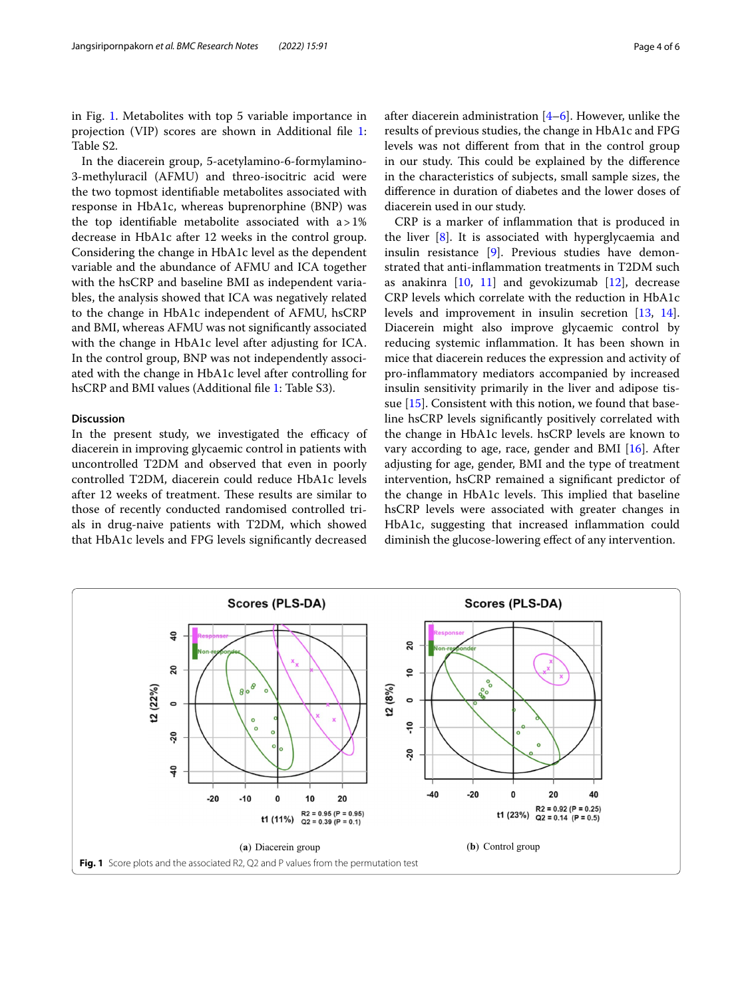in Fig. [1](#page-3-0). Metabolites with top 5 variable importance in projection (VIP) scores are shown in Additional fle [1](#page-4-4): Table S2.

In the diacerein group, 5-acetylamino-6-formylamino-3-methyluracil (AFMU) and threo-isocitric acid were the two topmost identifable metabolites associated with response in HbA1c, whereas buprenorphine (BNP) was the top identifable metabolite associated with a>1% decrease in HbA1c after 12 weeks in the control group. Considering the change in HbA1c level as the dependent variable and the abundance of AFMU and ICA together with the hsCRP and baseline BMI as independent variables, the analysis showed that ICA was negatively related to the change in HbA1c independent of AFMU, hsCRP and BMI, whereas AFMU was not signifcantly associated with the change in HbA1c level after adjusting for ICA. In the control group, BNP was not independently associated with the change in HbA1c level after controlling for hsCRP and BMI values (Additional fle [1](#page-4-4): Table S3).

# **Discussion**

In the present study, we investigated the efficacy of diacerein in improving glycaemic control in patients with uncontrolled T2DM and observed that even in poorly controlled T2DM, diacerein could reduce HbA1c levels after 12 weeks of treatment. These results are similar to those of recently conducted randomised controlled trials in drug-naive patients with T2DM, which showed that HbA1c levels and FPG levels signifcantly decreased diacerein used in our study.

CRP is a marker of infammation that is produced in the liver [\[8](#page-5-2)]. It is associated with hyperglycaemia and insulin resistance [[9\]](#page-5-3). Previous studies have demonstrated that anti-infammation treatments in T2DM such as anakinra  $[10, 11]$  $[10, 11]$  $[10, 11]$  $[10, 11]$  $[10, 11]$  and gevokizumab  $[12]$  $[12]$ , decrease CRP levels which correlate with the reduction in HbA1c levels and improvement in insulin secretion [[13,](#page-5-7) [14](#page-5-8)]. Diacerein might also improve glycaemic control by reducing systemic infammation. It has been shown in mice that diacerein reduces the expression and activity of pro-infammatory mediators accompanied by increased insulin sensitivity primarily in the liver and adipose tissue [[15\]](#page-5-9). Consistent with this notion, we found that baseline hsCRP levels signifcantly positively correlated with the change in HbA1c levels. hsCRP levels are known to vary according to age, race, gender and BMI [\[16](#page-5-10)]. After adjusting for age, gender, BMI and the type of treatment intervention, hsCRP remained a signifcant predictor of the change in HbA1c levels. This implied that baseline hsCRP levels were associated with greater changes in HbA1c, suggesting that increased infammation could diminish the glucose-lowering efect of any intervention.

<span id="page-3-0"></span>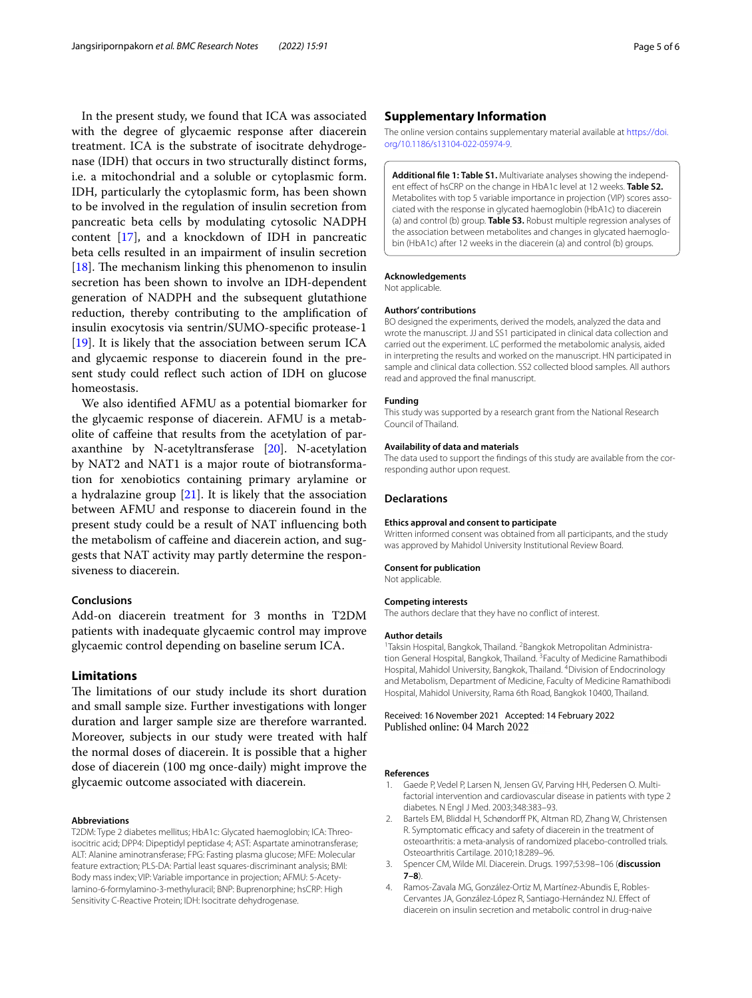In the present study, we found that ICA was associated with the degree of glycaemic response after diacerein treatment. ICA is the substrate of isocitrate dehydrogenase (IDH) that occurs in two structurally distinct forms, i.e. a mitochondrial and a soluble or cytoplasmic form. IDH, particularly the cytoplasmic form, has been shown to be involved in the regulation of insulin secretion from pancreatic beta cells by modulating cytosolic NADPH content [\[17\]](#page-5-11), and a knockdown of IDH in pancreatic beta cells resulted in an impairment of insulin secretion [ $18$ ]. The mechanism linking this phenomenon to insulin secretion has been shown to involve an IDH-dependent generation of NADPH and the subsequent glutathione reduction, thereby contributing to the amplifcation of insulin exocytosis via sentrin/SUMO-specifc protease-1 [[19\]](#page-5-13). It is likely that the association between serum ICA and glycaemic response to diacerein found in the present study could refect such action of IDH on glucose homeostasis.

We also identifed AFMU as a potential biomarker for the glycaemic response of diacerein. AFMU is a metabolite of cafeine that results from the acetylation of paraxanthine by N-acetyltransferase [\[20\]](#page-5-14). N-acetylation by NAT2 and NAT1 is a major route of biotransformation for xenobiotics containing primary arylamine or a hydralazine group  $[21]$ . It is likely that the association between AFMU and response to diacerein found in the present study could be a result of NAT infuencing both the metabolism of cafeine and diacerein action, and suggests that NAT activity may partly determine the responsiveness to diacerein.

## **Conclusions**

Add-on diacerein treatment for 3 months in T2DM patients with inadequate glycaemic control may improve glycaemic control depending on baseline serum ICA.

# **Limitations**

The limitations of our study include its short duration and small sample size. Further investigations with longer duration and larger sample size are therefore warranted. Moreover, subjects in our study were treated with half the normal doses of diacerein. It is possible that a higher dose of diacerein (100 mg once-daily) might improve the glycaemic outcome associated with diacerein.

#### **Abbreviations**

T2DM: Type 2 diabetes mellitus; HbA1c: Glycated haemoglobin; ICA: Threoisocitric acid; DPP4: Dipeptidyl peptidase 4; AST: Aspartate aminotransferase; ALT: Alanine aminotransferase; FPG: Fasting plasma glucose; MFE: Molecular feature extraction; PLS-DA: Partial least squares-discriminant analysis; BMI: Body mass index; VIP: Variable importance in projection; AFMU: 5-Acetylamino-6-formylamino-3-methyluracil; BNP: Buprenorphine; hsCRP: High Sensitivity C-Reactive Protein; IDH: Isocitrate dehydrogenase.

## **Supplementary Information**

The online version contains supplementary material available at [https://doi.](https://doi.org/10.1186/s13104-022-05974-9) [org/10.1186/s13104-022-05974-9](https://doi.org/10.1186/s13104-022-05974-9).

<span id="page-4-4"></span>**Additional fle 1: Table S1.** Multivariate analyses showing the independent efect of hsCRP on the change in HbA1c level at 12 weeks. **Table S2.** Metabolites with top 5 variable importance in projection (VIP) scores associated with the response in glycated haemoglobin (HbA1c) to diacerein (a) and control (b) group. **Table S3.** Robust multiple regression analyses of the association between metabolites and changes in glycated haemoglobin (HbA1c) after 12 weeks in the diacerein (a) and control (b) groups.

#### **Acknowledgements**

Not applicable.

#### **Authors' contributions**

BO designed the experiments, derived the models, analyzed the data and wrote the manuscript. JJ and SS1 participated in clinical data collection and carried out the experiment. LC performed the metabolomic analysis, aided in interpreting the results and worked on the manuscript. HN participated in sample and clinical data collection. SS2 collected blood samples. All authors read and approved the fnal manuscript.

#### **Funding**

This study was supported by a research grant from the National Research Council of Thailand.

#### **Availability of data and materials**

The data used to support the fndings of this study are available from the corresponding author upon request.

#### **Declarations**

#### **Ethics approval and consent to participate**

Written informed consent was obtained from all participants, and the study was approved by Mahidol University Institutional Review Board.

#### **Consent for publication**

Not applicable.

## **Competing interests**

The authors declare that they have no confict of interest.

#### **Author details**

<sup>1</sup>Taksin Hospital, Bangkok, Thailand. <sup>2</sup>Bangkok Metropolitan Administration General Hospital, Bangkok, Thailand.<sup>3</sup> Faculty of Medicine Ramathibodi Hospital, Mahidol University, Bangkok, Thailand. <sup>4</sup> Division of Endocrinology and Metabolism, Department of Medicine, Faculty of Medicine Ramathibodi Hospital, Mahidol University, Rama 6th Road, Bangkok 10400, Thailand.

Received: 16 November 2021 Accepted: 14 February 2022 Published online: 04 March 2022

#### **References**

- <span id="page-4-0"></span>1. Gaede P, Vedel P, Larsen N, Jensen GV, Parving HH, Pedersen O. Multifactorial intervention and cardiovascular disease in patients with type 2 diabetes. N Engl J Med. 2003;348:383–93.
- <span id="page-4-1"></span>2. Bartels EM, Bliddal H, Schøndorff PK, Altman RD, Zhang W, Christensen R. Symptomatic efficacy and safety of diacerein in the treatment of osteoarthritis: a meta-analysis of randomized placebo-controlled trials. Osteoarthritis Cartilage. 2010;18:289–96.
- <span id="page-4-2"></span>3. Spencer CM, Wilde MI. Diacerein. Drugs. 1997;53:98–106 (**discussion 7–8**).
- <span id="page-4-3"></span>4. Ramos-Zavala MG, González-Ortiz M, Martínez-Abundis E, Robles-Cervantes JA, González-López R, Santiago-Hernández NJ. Efect of diacerein on insulin secretion and metabolic control in drug-naive